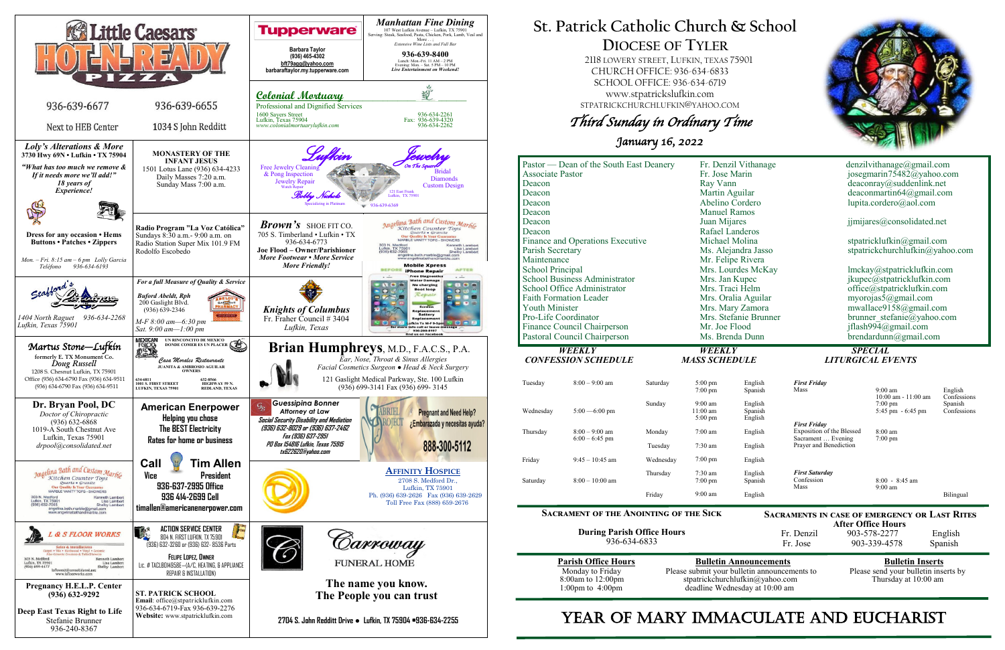

**After Office Hours**<br>Fr. Denzil 903-578-2277 903-578-2277 English Fr. Jose 903-339-4578 Spanish

Please submit your bulletin announcements to deadline Wednesday at 10:00 am

# **Parish Office Hours Bulletin Announcements**<br>Please submit your bulletin announcements to Please send your bulletin inserts by stpatrickchurchlufkin@yahoo.com Thursday at 10:00 am

# **St. Patrick Catholic Church & School DIOCESE OF TYLER**

 2118 LOWERY STREET, LUFKIN, TEXAS 75901 CHURCH OFFICE: 936-634-6833 SCHOOL OFFICE: 936-634-6719 www.stpatrickslufkin.com STPATRICKCHURCHLUFKIN@YAHOO.COM

Third Sunday in Ordinary Time

January 16, 2022

|                                      | Pastor — Dean of the South East Deanery |           | Fr. Denzil Vithanage         |                    | denzilvithanage@gmail.com                        |                                          |                        |
|--------------------------------------|-----------------------------------------|-----------|------------------------------|--------------------|--------------------------------------------------|------------------------------------------|------------------------|
| <b>Associate Pastor</b>              |                                         |           | Fr. Jose Marin               |                    | josegmarin75482@yahoo.com                        |                                          |                        |
| Deacon                               |                                         |           | Ray Vann                     |                    | deaconray@suddenlink.net                         |                                          |                        |
| Deacon                               |                                         |           | Martin Aguilar               |                    | deaconmartin $64@g$ mail.com                     |                                          |                        |
| Deacon                               |                                         |           | Abelino Cordero              |                    | lupita.cordero@aol.com                           |                                          |                        |
| Deacon                               |                                         |           | <b>Manuel Ramos</b>          |                    |                                                  |                                          |                        |
| Deacon                               |                                         |           | Juan Mijares                 |                    | jimijares@consolidated.net                       |                                          |                        |
| Deacon                               |                                         |           | Rafael Landeros              |                    |                                                  |                                          |                        |
| Finance and Operations Executive     |                                         |           | Michael Molina               |                    | stpatricklufkin@gmail.com                        |                                          |                        |
| Parish Secretary                     |                                         |           | Ms. Alejandra Jasso          |                    | stpatrickchurchlufkin@yahoo.com                  |                                          |                        |
| Maintenance                          |                                         |           | Mr. Felipe Rivera            |                    |                                                  |                                          |                        |
| <b>School Principal</b>              |                                         |           | Mrs. Lourdes McKay           |                    | lmckay@stpatricklufkin.com                       |                                          |                        |
| <b>School Business Administrator</b> |                                         |           | Mrs. Jan Kupec               |                    | jkupec@stpatricklufkin.com                       |                                          |                        |
| School Office Administrator          |                                         |           | Mrs. Traci Helm              |                    | office@stpatricklufkin.com                       |                                          |                        |
| <b>Faith Formation Leader</b>        |                                         |           | Mrs. Oralia Aguilar          |                    | myorojas5@gmail.com                              |                                          |                        |
| <b>Youth Minister</b>                |                                         |           | Mrs. Mary Zamora             |                    | mwallace9158@gmail.com                           |                                          |                        |
| Pro-Life Coordinator                 |                                         |           | Mrs. Stefanie Brunner        |                    | brunner stefanie@yahoo.com                       |                                          |                        |
| Finance Council Chairperson          |                                         |           | Mr. Joe Flood                |                    | jflash994@gmail.com                              |                                          |                        |
| Pastoral Council Chairperson         |                                         |           | Ms. Brenda Dunn              |                    | $b$ rendardunn@gmail.com                         |                                          |                        |
|                                      |                                         |           |                              |                    |                                                  |                                          |                        |
|                                      |                                         |           |                              |                    |                                                  |                                          |                        |
|                                      | WEEKLY                                  |           | WEEKLY                       |                    |                                                  | <b>SPECIAL</b>                           |                        |
|                                      | <b>CONFESSION SCHEDULE</b>              |           | <b>MASS SCHEDULE</b>         |                    |                                                  | <b>LITURGICAL EVENTS</b>                 |                        |
| Tuesday                              | $8:00 - 9:00$ am                        | Saturday  | $5:00$ pm                    | English            | <b>First Friday</b>                              |                                          |                        |
|                                      |                                         |           | $7:00$ pm                    | Spanish            | Mass                                             | $9:00$ am                                | English                |
|                                      |                                         | Sunday    | $9:00$ am                    | English            |                                                  | 10:00 am - 11:00 am<br>$7:00 \text{ pm}$ | Confessions<br>Spanish |
| Wednesday                            | $5:00 - 6:00$ pm                        |           | $11:00$ am                   | Spanish            |                                                  | 5:45 pm - 6:45 pm                        | Confessions            |
|                                      |                                         |           | $5:00 \text{ pm}$            | English            |                                                  |                                          |                        |
| Thursday                             | $8:00 - 9:00$ am                        | Monday    | $7:00$ am                    | English            | <b>First Friday</b><br>Exposition of the Blessed | 8:00 am                                  |                        |
|                                      | $6:00 - 6:45$ pm                        | Tuesday   | $7:30$ am                    | English            | Sacrament  Evening<br>Prayer and Benediction     | $7:00 \text{ pm}$                        |                        |
| Friday                               | $9:45 - 10:45$ am                       | Wednesday | $7:00 \text{ pm}$            | English            |                                                  |                                          |                        |
| Saturday                             | $8:00 - 10:00$ am                       | Thursday  | 7:30 am<br>$7:00 \text{ pm}$ | English<br>Spanish | <b>First Saturday</b><br>Confession<br>Mass      | $8:00 - 8:45$ am<br>$9:00 \text{ am}$    |                        |

### **Sacrament of the Anointing of the Sick**

**During Parish Office Hours**  936-634-6833

# YEAR OF MARY IMMACULATE AND EUCHARIST



**Sacraments in case of emergency or Last Rites**